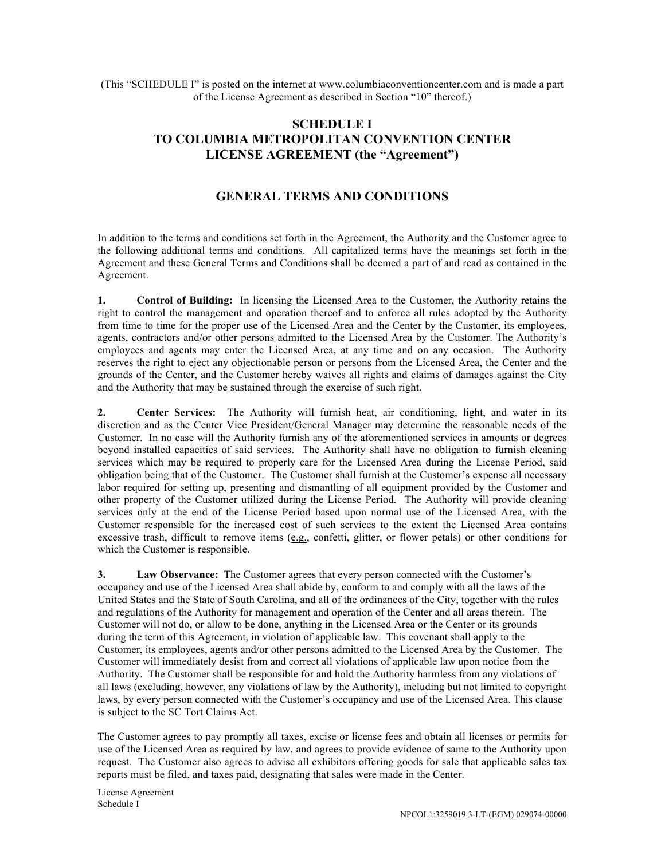(This "SCHEDULE I" is posted on the internet at www.columbiaconventioncenter.com and is made a part of the License Agreement as described in Section "10" thereof.)

## **SCHEDULE I TO COLUMBIA METROPOLITAN CONVENTION CENTER LICENSE AGREEMENT (the "Agreement")**

## **GENERAL TERMS AND CONDITIONS**

In addition to the terms and conditions set forth in the Agreement, the Authority and the Customer agree to the following additional terms and conditions. All capitalized terms have the meanings set forth in the Agreement and these General Terms and Conditions shall be deemed a part of and read as contained in the Agreement.

**1. Control of Building:** In licensing the Licensed Area to the Customer, the Authority retains the right to control the management and operation thereof and to enforce all rules adopted by the Authority from time to time for the proper use of the Licensed Area and the Center by the Customer, its employees, agents, contractors and/or other persons admitted to the Licensed Area by the Customer. The Authority's employees and agents may enter the Licensed Area, at any time and on any occasion. The Authority reserves the right to eject any objectionable person or persons from the Licensed Area, the Center and the grounds of the Center, and the Customer hereby waives all rights and claims of damages against the City and the Authority that may be sustained through the exercise of such right.

**2. Center Services:** The Authority will furnish heat, air conditioning, light, and water in its discretion and as the Center Vice President/General Manager may determine the reasonable needs of the Customer. In no case will the Authority furnish any of the aforementioned services in amounts or degrees beyond installed capacities of said services. The Authority shall have no obligation to furnish cleaning services which may be required to properly care for the Licensed Area during the License Period, said obligation being that of the Customer. The Customer shall furnish at the Customer's expense all necessary labor required for setting up, presenting and dismantling of all equipment provided by the Customer and other property of the Customer utilized during the License Period. The Authority will provide cleaning services only at the end of the License Period based upon normal use of the Licensed Area, with the Customer responsible for the increased cost of such services to the extent the Licensed Area contains excessive trash, difficult to remove items (e.g., confetti, glitter, or flower petals) or other conditions for which the Customer is responsible.

**3. Law Observance:** The Customer agrees that every person connected with the Customer's occupancy and use of the Licensed Area shall abide by, conform to and comply with all the laws of the United States and the State of South Carolina, and all of the ordinances of the City, together with the rules and regulations of the Authority for management and operation of the Center and all areas therein. The Customer will not do, or allow to be done, anything in the Licensed Area or the Center or its grounds during the term of this Agreement, in violation of applicable law. This covenant shall apply to the Customer, its employees, agents and/or other persons admitted to the Licensed Area by the Customer. The Customer will immediately desist from and correct all violations of applicable law upon notice from the Authority. The Customer shall be responsible for and hold the Authority harmless from any violations of all laws (excluding, however, any violations of law by the Authority), including but not limited to copyright laws, by every person connected with the Customer's occupancy and use of the Licensed Area. This clause is subject to the SC Tort Claims Act.

The Customer agrees to pay promptly all taxes, excise or license fees and obtain all licenses or permits for use of the Licensed Area as required by law, and agrees to provide evidence of same to the Authority upon request. The Customer also agrees to advise all exhibitors offering goods for sale that applicable sales tax reports must be filed, and taxes paid, designating that sales were made in the Center.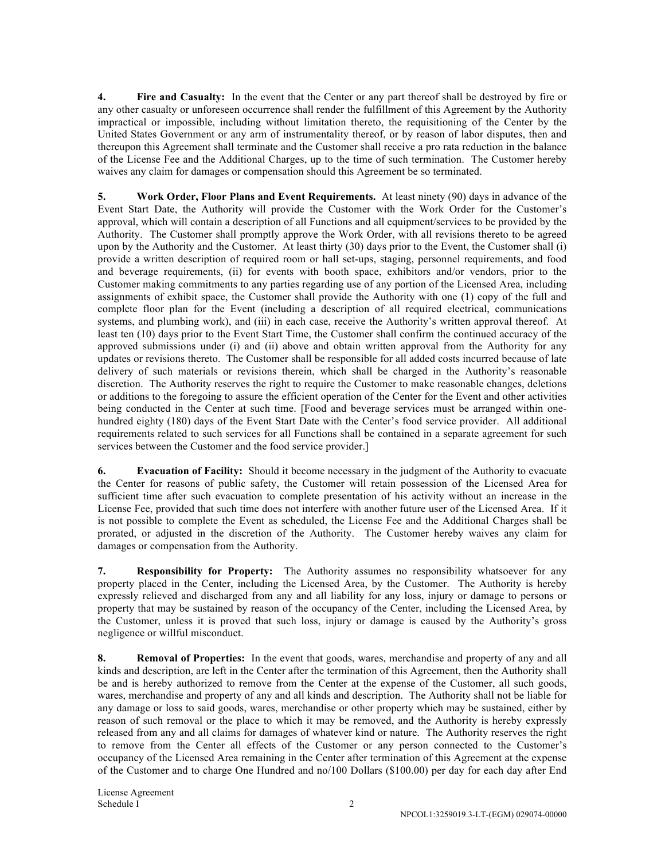**4. Fire and Casualty:** In the event that the Center or any part thereof shall be destroyed by fire or any other casualty or unforeseen occurrence shall render the fulfillment of this Agreement by the Authority impractical or impossible, including without limitation thereto, the requisitioning of the Center by the United States Government or any arm of instrumentality thereof, or by reason of labor disputes, then and thereupon this Agreement shall terminate and the Customer shall receive a pro rata reduction in the balance of the License Fee and the Additional Charges, up to the time of such termination. The Customer hereby waives any claim for damages or compensation should this Agreement be so terminated.

**5. Work Order, Floor Plans and Event Requirements.** At least ninety (90) days in advance of the Event Start Date, the Authority will provide the Customer with the Work Order for the Customer's approval, which will contain a description of all Functions and all equipment/services to be provided by the Authority. The Customer shall promptly approve the Work Order, with all revisions thereto to be agreed upon by the Authority and the Customer.At least thirty (30) days prior to the Event, the Customer shall (i) provide a written description of required room or hall set-ups, staging, personnel requirements, and food and beverage requirements, (ii) for events with booth space, exhibitors and/or vendors, prior to the Customer making commitments to any parties regarding use of any portion of the Licensed Area, including assignments of exhibit space, the Customer shall provide the Authority with one (1) copy of the full and complete floor plan for the Event (including a description of all required electrical, communications systems, and plumbing work), and (iii) in each case, receive the Authority's written approval thereof. At least ten (10) days prior to the Event Start Time, the Customer shall confirm the continued accuracy of the approved submissions under (i) and (ii) above and obtain written approval from the Authority for any updates or revisions thereto. The Customer shall be responsible for all added costs incurred because of late delivery of such materials or revisions therein, which shall be charged in the Authority's reasonable discretion. The Authority reserves the right to require the Customer to make reasonable changes, deletions or additions to the foregoing to assure the efficient operation of the Center for the Event and other activities being conducted in the Center at such time. [Food and beverage services must be arranged within onehundred eighty (180) days of the Event Start Date with the Center's food service provider. All additional requirements related to such services for all Functions shall be contained in a separate agreement for such services between the Customer and the food service provider.]

**6. Evacuation of Facility:** Should it become necessary in the judgment of the Authority to evacuate the Center for reasons of public safety, the Customer will retain possession of the Licensed Area for sufficient time after such evacuation to complete presentation of his activity without an increase in the License Fee, provided that such time does not interfere with another future user of the Licensed Area.If it is not possible to complete the Event as scheduled, the License Fee and the Additional Charges shall be prorated, or adjusted in the discretion of the Authority. The Customer hereby waives any claim for damages or compensation from the Authority.

**7. Responsibility for Property:** The Authority assumes no responsibility whatsoever for any property placed in the Center, including the Licensed Area, by the Customer. The Authority is hereby expressly relieved and discharged from any and all liability for any loss, injury or damage to persons or property that may be sustained by reason of the occupancy of the Center, including the Licensed Area, by the Customer, unless it is proved that such loss, injury or damage is caused by the Authority's gross negligence or willful misconduct.

**8. Removal of Properties:** In the event that goods, wares, merchandise and property of any and all kinds and description, are left in the Center after the termination of this Agreement, then the Authority shall be and is hereby authorized to remove from the Center at the expense of the Customer, all such goods, wares, merchandise and property of any and all kinds and description. The Authority shall not be liable for any damage or loss to said goods, wares, merchandise or other property which may be sustained, either by reason of such removal or the place to which it may be removed, and the Authority is hereby expressly released from any and all claims for damages of whatever kind or nature. The Authority reserves the right to remove from the Center all effects of the Customer or any person connected to the Customer's occupancy of the Licensed Area remaining in the Center after termination of this Agreement at the expense of the Customer and to charge One Hundred and no/100 Dollars (\$100.00) per day for each day after End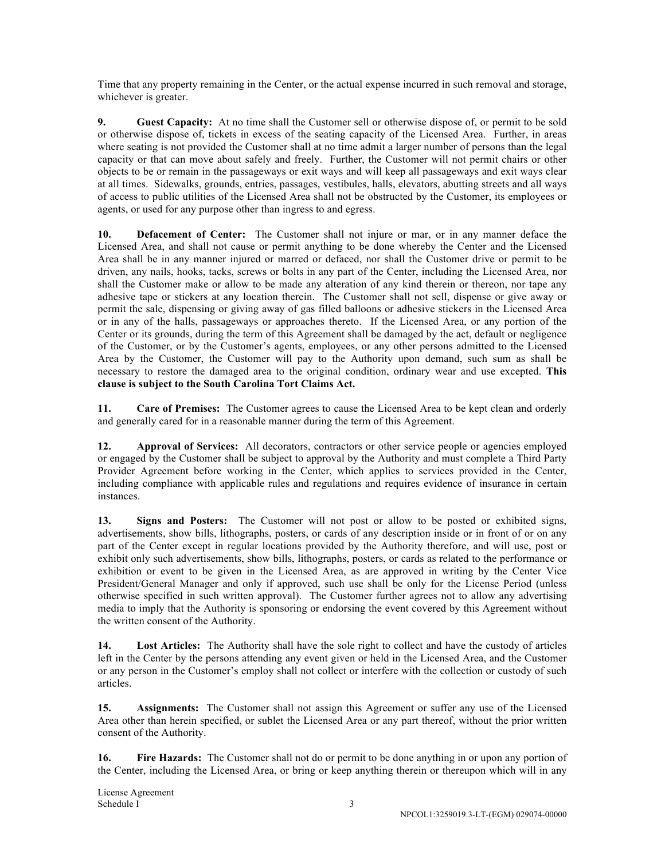Time that any property remaining in the Center, or the actual expense incurred in such removal and storage, whichever is greater.

**9. Guest Capacity:** At no time shall the Customer sell or otherwise dispose of, or permit to be sold or otherwise dispose of, tickets in excess of the seating capacity of the Licensed Area. Further, in areas where seating is not provided the Customer shall at no time admit a larger number of persons than the legal capacity or that can move about safely and freely. Further, the Customer will not permit chairs or other objects to be or remain in the passageways or exit ways and will keep all passageways and exit ways clear at all times. Sidewalks, grounds, entries, passages, vestibules, halls, elevators, abutting streets and all ways of access to public utilities of the Licensed Area shall not be obstructed by the Customer, its employees or agents, or used for any purpose other than ingress to and egress.

**10. Defacement of Center:** The Customer shall not injure or mar, or in any manner deface the Licensed Area, and shall not cause or permit anything to be done whereby the Center and the Licensed Area shall be in any manner injured or marred or defaced, nor shall the Customer drive or permit to be driven, any nails, hooks, tacks, screws or bolts in any part of the Center, including the Licensed Area, nor shall the Customer make or allow to be made any alteration of any kind therein or thereon, nor tape any adhesive tape or stickers at any location therein. The Customer shall not sell, dispense or give away or permit the sale, dispensing or giving away of gas filled balloons or adhesive stickers in the Licensed Area or in any of the halls, passageways or approaches thereto. If the Licensed Area, or any portion of the Center or its grounds, during the term of this Agreement shall be damaged by the act, default or negligence of the Customer, or by the Customer's agents, employees, or any other persons admitted to the Licensed Area by the Customer, the Customer will pay to the Authority upon demand, such sum as shall be necessary to restore the damaged area to the original condition, ordinary wear and use excepted. **This clause is subject to the South Carolina Tort Claims Act.**

**11. Care of Premises:** The Customer agrees to cause the Licensed Area to be kept clean and orderly and generally cared for in a reasonable manner during the term of this Agreement.

**12. Approval of Services:** All decorators, contractors or other service people or agencies employed or engaged by the Customer shall be subject to approval by the Authority and must complete a Third Party Provider Agreement before working in the Center, which applies to services provided in the Center, including compliance with applicable rules and regulations and requires evidence of insurance in certain instances.

**13. Signs and Posters:** The Customer will not post or allow to be posted or exhibited signs, advertisements, show bills, lithographs, posters, or cards of any description inside or in front of or on any part of the Center except in regular locations provided by the Authority therefore, and will use, post or exhibit only such advertisements, show bills, lithographs, posters, or cards as related to the performance or exhibition or event to be given in the Licensed Area, as are approved in writing by the Center Vice President/General Manager and only if approved, such use shall be only for the License Period (unless otherwise specified in such written approval). The Customer further agrees not to allow any advertising media to imply that the Authority is sponsoring or endorsing the event covered by this Agreement without the written consent of the Authority.

**14. Lost Articles:** The Authority shall have the sole right to collect and have the custody of articles left in the Center by the persons attending any event given or held in the Licensed Area, and the Customer or any person in the Customer's employ shall not collect or interfere with the collection or custody of such articles.

**15. Assignments:** The Customer shall not assign this Agreement or suffer any use of the Licensed Area other than herein specified, or sublet the Licensed Area or any part thereof, without the prior written consent of the Authority.

**16. Fire Hazards:** The Customer shall not do or permit to be done anything in or upon any portion of the Center, including the Licensed Area, or bring or keep anything therein or thereupon which will in any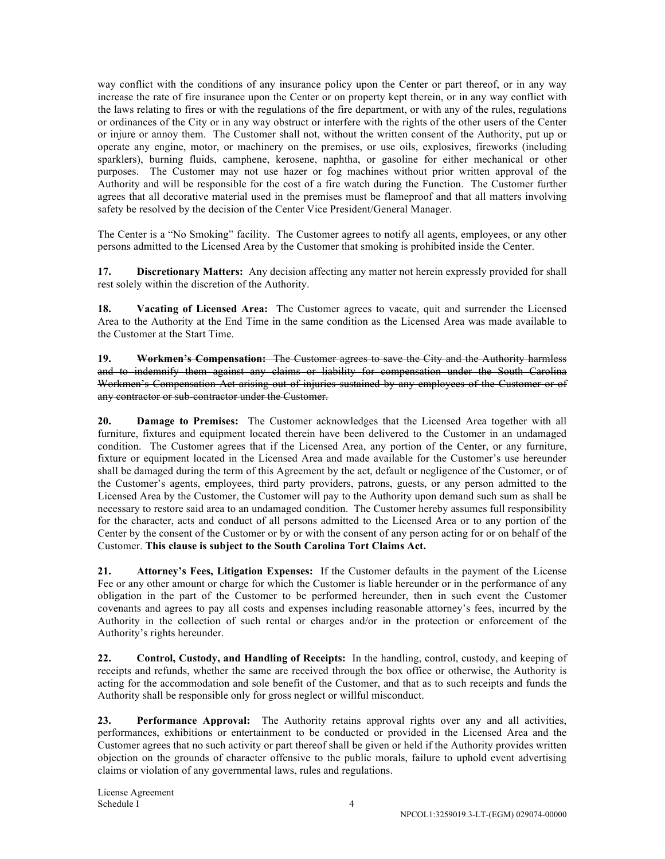way conflict with the conditions of any insurance policy upon the Center or part thereof, or in any way increase the rate of fire insurance upon the Center or on property kept therein, or in any way conflict with the laws relating to fires or with the regulations of the fire department, or with any of the rules, regulations or ordinances of the City or in any way obstruct or interfere with the rights of the other users of the Center or injure or annoy them. The Customer shall not, without the written consent of the Authority, put up or operate any engine, motor, or machinery on the premises, or use oils, explosives, fireworks (including sparklers), burning fluids, camphene, kerosene, naphtha, or gasoline for either mechanical or other purposes. The Customer may not use hazer or fog machines without prior written approval of the Authority and will be responsible for the cost of a fire watch during the Function. The Customer further agrees that all decorative material used in the premises must be flameproof and that all matters involving safety be resolved by the decision of the Center Vice President/General Manager.

The Center is a "No Smoking" facility. The Customer agrees to notify all agents, employees, or any other persons admitted to the Licensed Area by the Customer that smoking is prohibited inside the Center.

**17. Discretionary Matters:** Any decision affecting any matter not herein expressly provided for shall rest solely within the discretion of the Authority.

**18. Vacating of Licensed Area:** The Customer agrees to vacate, quit and surrender the Licensed Area to the Authority at the End Time in the same condition as the Licensed Area was made available to the Customer at the Start Time.

**19. Workmen's Compensation:** The Customer agrees to save the City and the Authority harmless and to indemnify them against any claims or liability for compensation under the South Carolina Workmen's Compensation Act arising out of injuries sustained by any employees of the Customer or of any contractor or sub-contractor under the Customer.

**20. Damage to Premises:** The Customer acknowledges that the Licensed Area together with all furniture, fixtures and equipment located therein have been delivered to the Customer in an undamaged condition. The Customer agrees that if the Licensed Area, any portion of the Center, or any furniture, fixture or equipment located in the Licensed Area and made available for the Customer's use hereunder shall be damaged during the term of this Agreement by the act, default or negligence of the Customer, or of the Customer's agents, employees, third party providers, patrons, guests, or any person admitted to the Licensed Area by the Customer, the Customer will pay to the Authority upon demand such sum as shall be necessary to restore said area to an undamaged condition. The Customer hereby assumes full responsibility for the character, acts and conduct of all persons admitted to the Licensed Area or to any portion of the Center by the consent of the Customer or by or with the consent of any person acting for or on behalf of the Customer. **This clause is subject to the South Carolina Tort Claims Act.**

**21. Attorney's Fees, Litigation Expenses:** If the Customer defaults in the payment of the License Fee or any other amount or charge for which the Customer is liable hereunder or in the performance of any obligation in the part of the Customer to be performed hereunder, then in such event the Customer covenants and agrees to pay all costs and expenses including reasonable attorney's fees, incurred by the Authority in the collection of such rental or charges and/or in the protection or enforcement of the Authority's rights hereunder.

**22. Control, Custody, and Handling of Receipts:** In the handling, control, custody, and keeping of receipts and refunds, whether the same are received through the box office or otherwise, the Authority is acting for the accommodation and sole benefit of the Customer, and that as to such receipts and funds the Authority shall be responsible only for gross neglect or willful misconduct.

**23. Performance Approval:** The Authority retains approval rights over any and all activities, performances, exhibitions or entertainment to be conducted or provided in the Licensed Area and the Customer agrees that no such activity or part thereof shall be given or held if the Authority provides written objection on the grounds of character offensive to the public morals, failure to uphold event advertising claims or violation of any governmental laws, rules and regulations.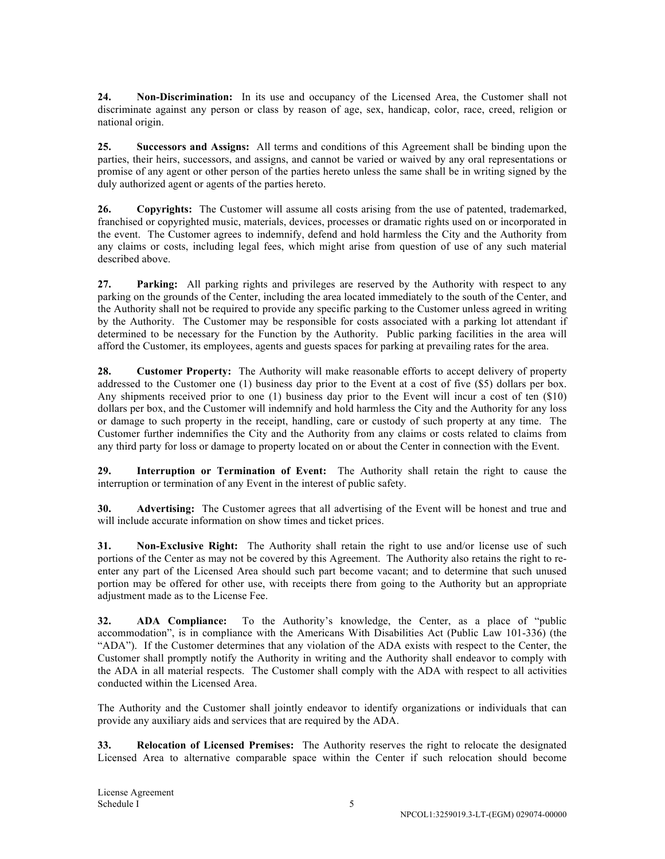**24. Non-Discrimination:** In its use and occupancy of the Licensed Area, the Customer shall not discriminate against any person or class by reason of age, sex, handicap, color, race, creed, religion or national origin.

**25. Successors and Assigns:** All terms and conditions of this Agreement shall be binding upon the parties, their heirs, successors, and assigns, and cannot be varied or waived by any oral representations or promise of any agent or other person of the parties hereto unless the same shall be in writing signed by the duly authorized agent or agents of the parties hereto.

**26. Copyrights:** The Customer will assume all costs arising from the use of patented, trademarked, franchised or copyrighted music, materials, devices, processes or dramatic rights used on or incorporated in the event. The Customer agrees to indemnify, defend and hold harmless the City and the Authority from any claims or costs, including legal fees, which might arise from question of use of any such material described above.

**27. Parking:** All parking rights and privileges are reserved by the Authority with respect to any parking on the grounds of the Center, including the area located immediately to the south of the Center, and the Authority shall not be required to provide any specific parking to the Customer unless agreed in writing by the Authority. The Customer may be responsible for costs associated with a parking lot attendant if determined to be necessary for the Function by the Authority. Public parking facilities in the area will afford the Customer, its employees, agents and guests spaces for parking at prevailing rates for the area.

**28. Customer Property:** The Authority will make reasonable efforts to accept delivery of property addressed to the Customer one (1) business day prior to the Event at a cost of five (\$5) dollars per box. Any shipments received prior to one (1) business day prior to the Event will incur a cost of ten (\$10) dollars per box, and the Customer will indemnify and hold harmless the City and the Authority for any loss or damage to such property in the receipt, handling, care or custody of such property at any time. The Customer further indemnifies the City and the Authority from any claims or costs related to claims from any third party for loss or damage to property located on or about the Center in connection with the Event.

**29. Interruption or Termination of Event:** The Authority shall retain the right to cause the interruption or termination of any Event in the interest of public safety.

**30. Advertising:** The Customer agrees that all advertising of the Event will be honest and true and will include accurate information on show times and ticket prices.

**31. Non-Exclusive Right:** The Authority shall retain the right to use and/or license use of such portions of the Center as may not be covered by this Agreement. The Authority also retains the right to reenter any part of the Licensed Area should such part become vacant; and to determine that such unused portion may be offered for other use, with receipts there from going to the Authority but an appropriate adjustment made as to the License Fee.

**32. ADA Compliance:** To the Authority's knowledge, the Center, as a place of "public accommodation", is in compliance with the Americans With Disabilities Act (Public Law 101-336) (the "ADA"). If the Customer determines that any violation of the ADA exists with respect to the Center, the Customer shall promptly notify the Authority in writing and the Authority shall endeavor to comply with the ADA in all material respects. The Customer shall comply with the ADA with respect to all activities conducted within the Licensed Area.

The Authority and the Customer shall jointly endeavor to identify organizations or individuals that can provide any auxiliary aids and services that are required by the ADA.

**33. Relocation of Licensed Premises:** The Authority reserves the right to relocate the designated Licensed Area to alternative comparable space within the Center if such relocation should become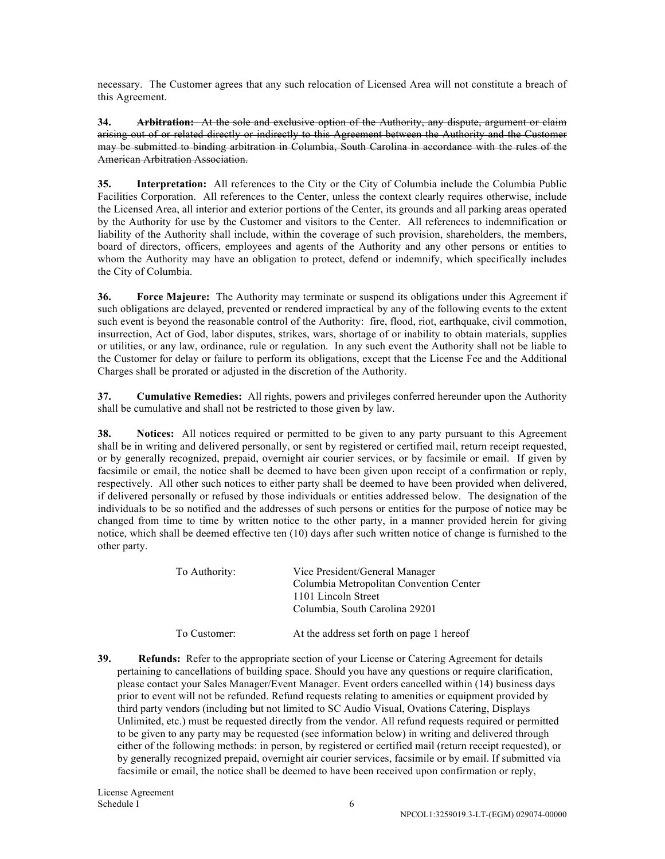necessary. The Customer agrees that any such relocation of Licensed Area will not constitute a breach of this Agreement.

**34. Arbitration:** At the sole and exclusive option of the Authority, any dispute, argument or claim arising out of or related directly or indirectly to this Agreement between the Authority and the Customer may be submitted to binding arbitration in Columbia, South Carolina in accordance with the rules of the American Arbitration Association.

**35. Interpretation:** All references to the City or the City of Columbia include the Columbia Public Facilities Corporation. All references to the Center, unless the context clearly requires otherwise, include the Licensed Area, all interior and exterior portions of the Center, its grounds and all parking areas operated by the Authority for use by the Customer and visitors to the Center. All references to indemnification or liability of the Authority shall include, within the coverage of such provision, shareholders, the members, board of directors, officers, employees and agents of the Authority and any other persons or entities to whom the Authority may have an obligation to protect, defend or indemnify, which specifically includes the City of Columbia.

**36. Force Majeure:** The Authority may terminate or suspend its obligations under this Agreement if such obligations are delayed, prevented or rendered impractical by any of the following events to the extent such event is beyond the reasonable control of the Authority: fire, flood, riot, earthquake, civil commotion, insurrection, Act of God, labor disputes, strikes, wars, shortage of or inability to obtain materials, supplies or utilities, or any law, ordinance, rule or regulation. In any such event the Authority shall not be liable to the Customer for delay or failure to perform its obligations, except that the License Fee and the Additional Charges shall be prorated or adjusted in the discretion of the Authority.

**37. Cumulative Remedies:** All rights, powers and privileges conferred hereunder upon the Authority shall be cumulative and shall not be restricted to those given by law.

**38. Notices:** All notices required or permitted to be given to any party pursuant to this Agreement shall be in writing and delivered personally, or sent by registered or certified mail, return receipt requested, or by generally recognized, prepaid, overnight air courier services, or by facsimile or email. If given by facsimile or email, the notice shall be deemed to have been given upon receipt of a confirmation or reply, respectively. All other such notices to either party shall be deemed to have been provided when delivered, if delivered personally or refused by those individuals or entities addressed below. The designation of the individuals to be so notified and the addresses of such persons or entities for the purpose of notice may be changed from time to time by written notice to the other party, in a manner provided herein for giving notice, which shall be deemed effective ten (10) days after such written notice of change is furnished to the other party.

| To Authority: | Vice President/General Manager<br>Columbia Metropolitan Convention Center<br>1101 Lincoln Street<br>Columbia, South Carolina 29201 |
|---------------|------------------------------------------------------------------------------------------------------------------------------------|
| To Customer:  | At the address set forth on page 1 hereof                                                                                          |

**39.** Refunds: Refer to the appropriate section of your License or Catering Agreement for details pertaining to cancellations of building space. Should you have any questions or require clarification, please contact your Sales Manager/Event Manager. Event orders cancelled within (14) business days prior to event will not be refunded. Refund requests relating to amenities or equipment provided by third party vendors (including but not limited to SC Audio Visual, Ovations Catering, Displays Unlimited, etc.) must be requested directly from the vendor. All refund requests required or permitted to be given to any party may be requested (see information below) in writing and delivered through either of the following methods: in person, by registered or certified mail (return receipt requested), or by generally recognized prepaid, overnight air courier services, facsimile or by email. If submitted via facsimile or email, the notice shall be deemed to have been received upon confirmation or reply,